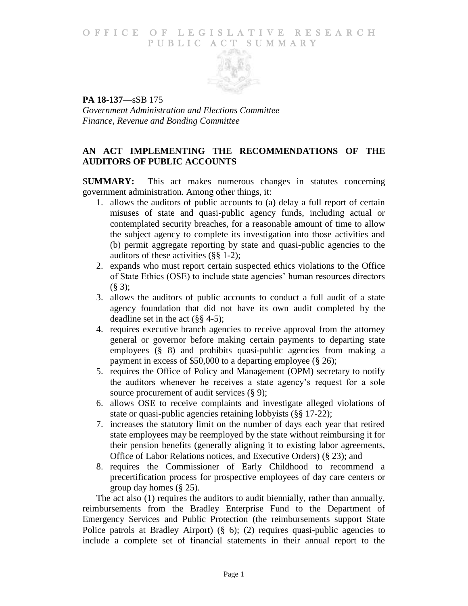## O F FICE OF LEGISLATIVE RESEARCH PUBLIC ACT SUMMARY



**PA 18-137**—sSB 175 *Government Administration and Elections Committee Finance, Revenue and Bonding Committee*

# **AN ACT IMPLEMENTING THE RECOMMENDATIONS OF THE AUDITORS OF PUBLIC ACCOUNTS**

S**UMMARY:** This act makes numerous changes in statutes concerning government administration. Among other things, it:

- 1. allows the auditors of public accounts to (a) delay a full report of certain misuses of state and quasi-public agency funds, including actual or contemplated security breaches, for a reasonable amount of time to allow the subject agency to complete its investigation into those activities and (b) permit aggregate reporting by state and quasi-public agencies to the auditors of these activities (§§ 1-2);
- 2. expands who must report certain suspected ethics violations to the Office of State Ethics (OSE) to include state agencies' human resources directors (§ 3);
- 3. allows the auditors of public accounts to conduct a full audit of a state agency foundation that did not have its own audit completed by the deadline set in the act (§§ 4-5);
- 4. requires executive branch agencies to receive approval from the attorney general or governor before making certain payments to departing state employees (§ 8) and prohibits quasi-public agencies from making a payment in excess of \$50,000 to a departing employee (§ 26);
- 5. requires the Office of Policy and Management (OPM) secretary to notify the auditors whenever he receives a state agency's request for a sole source procurement of audit services  $(\S 9)$ ;
- 6. allows OSE to receive complaints and investigate alleged violations of state or quasi-public agencies retaining lobbyists (§§ 17-22);
- 7. increases the statutory limit on the number of days each year that retired state employees may be reemployed by the state without reimbursing it for their pension benefits (generally aligning it to existing labor agreements, Office of Labor Relations notices, and Executive Orders) (§ 23); and
- 8. requires the Commissioner of Early Childhood to recommend a precertification process for prospective employees of day care centers or group day homes (§ 25).

The act also (1) requires the auditors to audit biennially, rather than annually, reimbursements from the Bradley Enterprise Fund to the Department of Emergency Services and Public Protection (the reimbursements support State Police patrols at Bradley Airport) (§ 6); (2) requires quasi-public agencies to include a complete set of financial statements in their annual report to the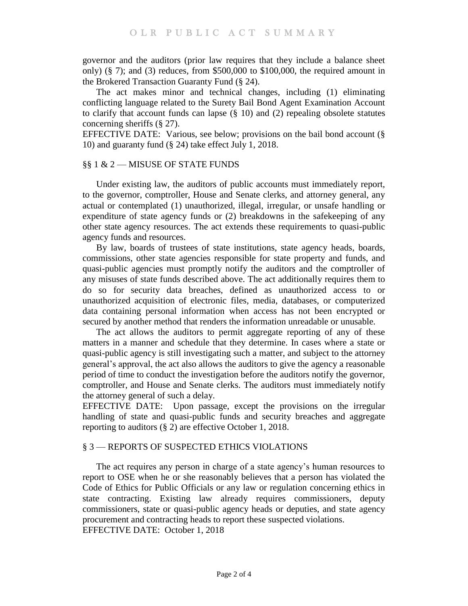governor and the auditors (prior law requires that they include a balance sheet only)  $(\S 7)$ ; and  $(3)$  reduces, from \$500,000 to \$100,000, the required amount in the Brokered Transaction Guaranty Fund (§ 24).

The act makes minor and technical changes, including (1) eliminating conflicting language related to the Surety Bail Bond Agent Examination Account to clarify that account funds can lapse  $(\S 10)$  and  $(2)$  repealing obsolete statutes concerning sheriffs (§ 27).

EFFECTIVE DATE: Various, see below; provisions on the bail bond account (§ 10) and guaranty fund (§ 24) take effect July 1, 2018.

### §§ 1 & 2 — MISUSE OF STATE FUNDS

Under existing law, the auditors of public accounts must immediately report, to the governor, comptroller, House and Senate clerks, and attorney general, any actual or contemplated (1) unauthorized, illegal, irregular, or unsafe handling or expenditure of state agency funds or (2) breakdowns in the safekeeping of any other state agency resources. The act extends these requirements to quasi-public agency funds and resources.

By law, boards of trustees of state institutions, state agency heads, boards, commissions, other state agencies responsible for state property and funds, and quasi-public agencies must promptly notify the auditors and the comptroller of any misuses of state funds described above. The act additionally requires them to do so for security data breaches, defined as unauthorized access to or unauthorized acquisition of electronic files, media, databases, or computerized data containing personal information when access has not been encrypted or secured by another method that renders the information unreadable or unusable.

The act allows the auditors to permit aggregate reporting of any of these matters in a manner and schedule that they determine. In cases where a state or quasi-public agency is still investigating such a matter, and subject to the attorney general's approval, the act also allows the auditors to give the agency a reasonable period of time to conduct the investigation before the auditors notify the governor, comptroller, and House and Senate clerks. The auditors must immediately notify the attorney general of such a delay.

EFFECTIVE DATE: Upon passage, except the provisions on the irregular handling of state and quasi-public funds and security breaches and aggregate reporting to auditors (§ 2) are effective October 1, 2018.

# § 3 — REPORTS OF SUSPECTED ETHICS VIOLATIONS

The act requires any person in charge of a state agency's human resources to report to OSE when he or she reasonably believes that a person has violated the Code of Ethics for Public Officials or any law or regulation concerning ethics in state contracting. Existing law already requires commissioners, deputy commissioners, state or quasi-public agency heads or deputies, and state agency procurement and contracting heads to report these suspected violations. EFFECTIVE DATE: October 1, 2018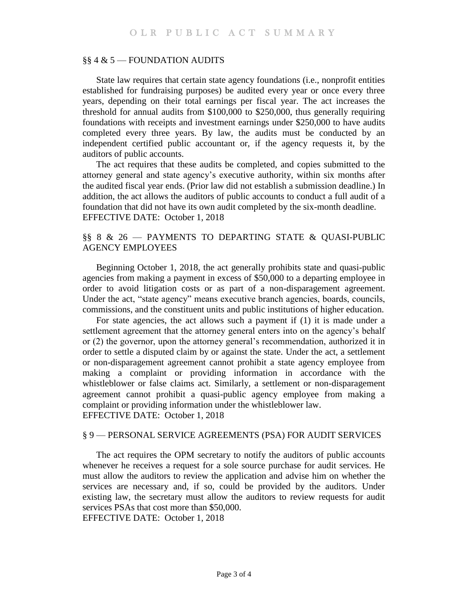### §§ 4 & 5 — FOUNDATION AUDITS

State law requires that certain state agency foundations (i.e., nonprofit entities established for fundraising purposes) be audited every year or once every three years, depending on their total earnings per fiscal year. The act increases the threshold for annual audits from \$100,000 to \$250,000, thus generally requiring foundations with receipts and investment earnings under \$250,000 to have audits completed every three years. By law, the audits must be conducted by an independent certified public accountant or, if the agency requests it, by the auditors of public accounts.

The act requires that these audits be completed, and copies submitted to the attorney general and state agency's executive authority, within six months after the audited fiscal year ends. (Prior law did not establish a submission deadline.) In addition, the act allows the auditors of public accounts to conduct a full audit of a foundation that did not have its own audit completed by the six-month deadline. EFFECTIVE DATE: October 1, 2018

# §§ 8 & 26 — PAYMENTS TO DEPARTING STATE & QUASI-PUBLIC AGENCY EMPLOYEES

Beginning October 1, 2018, the act generally prohibits state and quasi-public agencies from making a payment in excess of \$50,000 to a departing employee in order to avoid litigation costs or as part of a non-disparagement agreement. Under the act, "state agency" means executive branch agencies, boards, councils, commissions, and the constituent units and public institutions of higher education.

For state agencies, the act allows such a payment if (1) it is made under a settlement agreement that the attorney general enters into on the agency's behalf or (2) the governor, upon the attorney general's recommendation, authorized it in order to settle a disputed claim by or against the state. Under the act, a settlement or non-disparagement agreement cannot prohibit a state agency employee from making a complaint or providing information in accordance with the whistleblower or false claims act. Similarly, a settlement or non-disparagement agreement cannot prohibit a quasi-public agency employee from making a complaint or providing information under the whistleblower law. EFFECTIVE DATE: October 1, 2018

#### § 9 — PERSONAL SERVICE AGREEMENTS (PSA) FOR AUDIT SERVICES

The act requires the OPM secretary to notify the auditors of public accounts whenever he receives a request for a sole source purchase for audit services. He must allow the auditors to review the application and advise him on whether the services are necessary and, if so, could be provided by the auditors. Under existing law, the secretary must allow the auditors to review requests for audit services PSAs that cost more than \$50,000.

EFFECTIVE DATE: October 1, 2018